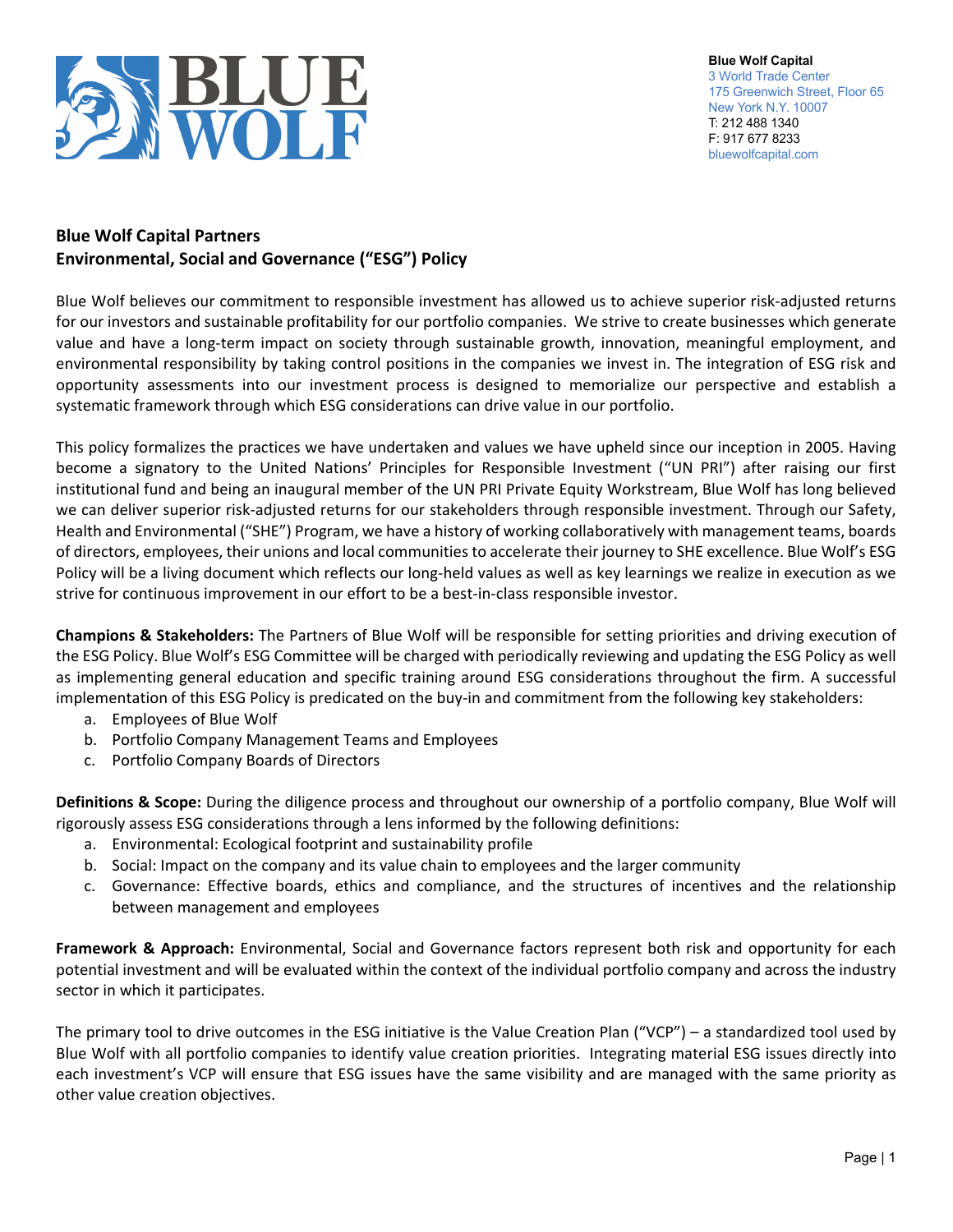

**Blue Wolf Capital** 3 World Trade Center 175 Greenwich Street, Floor 65 New York N.Y. 10007 T: 212 488 1340 F: 917 677 8233 bluewolfcapital.com

## **Blue Wolf Capital Partners Environmental, Social and Governance ("ESG") Policy**

Blue Wolf believes our commitment to responsible investment has allowed us to achieve superior risk‐adjusted returns for our investors and sustainable profitability for our portfolio companies. We strive to create businesses which generate value and have a long‐term impact on society through sustainable growth, innovation, meaningful employment, and environmental responsibility by taking control positions in the companies we invest in. The integration of ESG risk and opportunity assessments into our investment process is designed to memorialize our perspective and establish a systematic framework through which ESG considerations can drive value in our portfolio.

This policy formalizes the practices we have undertaken and values we have upheld since our inception in 2005. Having become a signatory to the United Nations' Principles for Responsible Investment ("UN PRI") after raising our first institutional fund and being an inaugural member of the UN PRI Private Equity Workstream, Blue Wolf has long believed we can deliver superior risk-adjusted returns for our stakeholders through responsible investment. Through our Safety, Health and Environmental ("SHE") Program, we have a history of working collaboratively with management teams, boards of directors, employees, their unions and local communities to accelerate their journey to SHE excellence. Blue Wolf's ESG Policy will be a living document which reflects our long‐held values as well as key learnings we realize in execution as we strive for continuous improvement in our effort to be a best-in-class responsible investor.

**Champions & Stakeholders:** The Partners of Blue Wolf will be responsible for setting priorities and driving execution of the ESG Policy. Blue Wolf's ESG Committee will be charged with periodically reviewing and updating the ESG Policy as well as implementing general education and specific training around ESG considerations throughout the firm. A successful implementation of this ESG Policy is predicated on the buy-in and commitment from the following key stakeholders:

- a. Employees of Blue Wolf
- b. Portfolio Company Management Teams and Employees
- c. Portfolio Company Boards of Directors

**Definitions & Scope:** During the diligence process and throughout our ownership of a portfolio company, Blue Wolf will rigorously assess ESG considerations through a lens informed by the following definitions:

- a. Environmental: Ecological footprint and sustainability profile
- b. Social: Impact on the company and its value chain to employees and the larger community
- c. Governance: Effective boards, ethics and compliance, and the structures of incentives and the relationship between management and employees

**Framework & Approach:** Environmental, Social and Governance factors represent both risk and opportunity for each potential investment and will be evaluated within the context of the individual portfolio company and across the industry sector in which it participates.

The primary tool to drive outcomes in the ESG initiative is the Value Creation Plan ("VCP") – a standardized tool used by Blue Wolf with all portfolio companies to identify value creation priorities. Integrating material ESG issues directly into each investment's VCP will ensure that ESG issues have the same visibility and are managed with the same priority as other value creation objectives.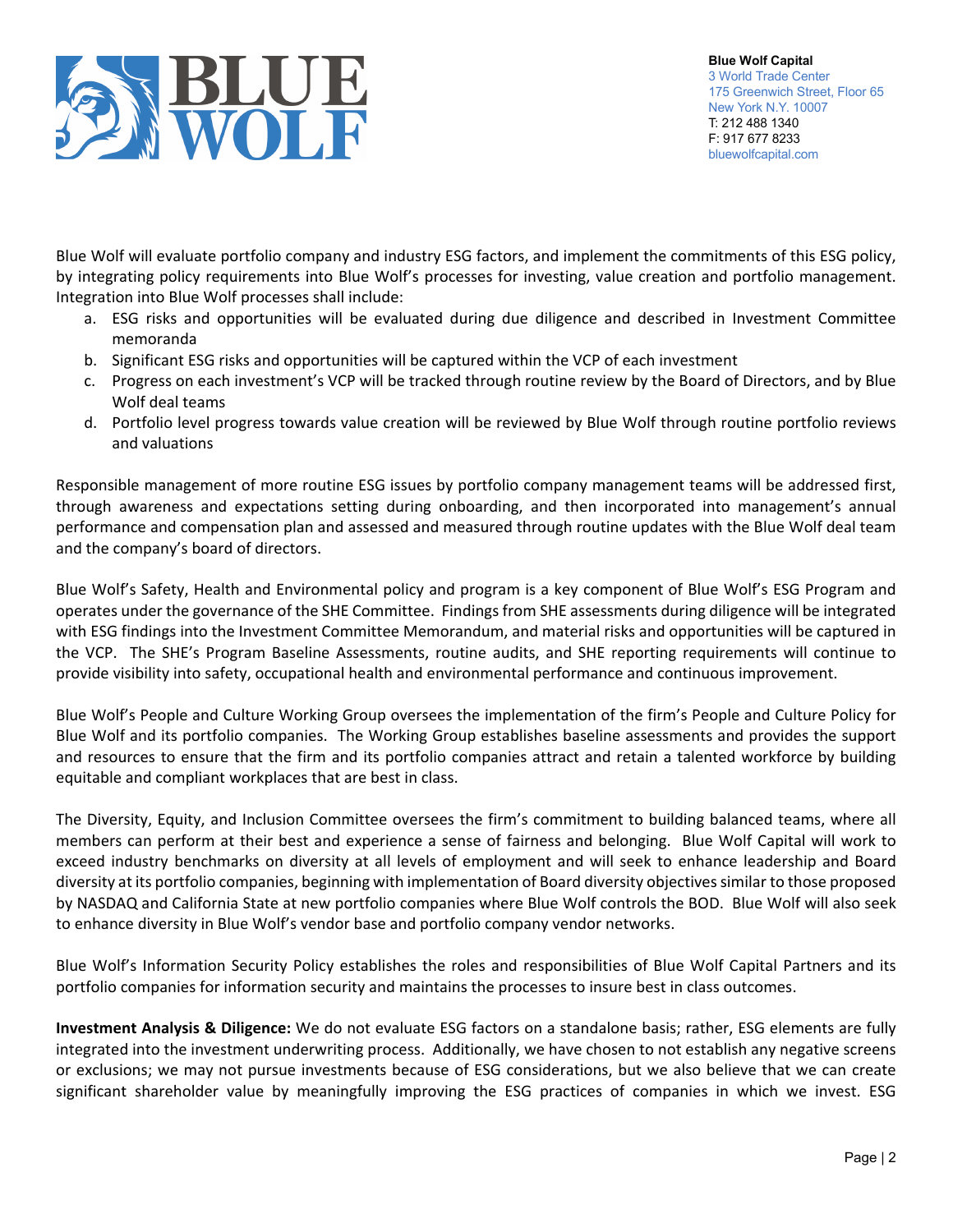

Blue Wolf will evaluate portfolio company and industry ESG factors, and implement the commitments of this ESG policy, by integrating policy requirements into Blue Wolf's processes for investing, value creation and portfolio management. Integration into Blue Wolf processes shall include:

- a. ESG risks and opportunities will be evaluated during due diligence and described in Investment Committee memoranda
- b. Significant ESG risks and opportunities will be captured within the VCP of each investment
- c. Progress on each investment's VCP will be tracked through routine review by the Board of Directors, and by Blue Wolf deal teams
- d. Portfolio level progress towards value creation will be reviewed by Blue Wolf through routine portfolio reviews and valuations

Responsible management of more routine ESG issues by portfolio company management teams will be addressed first, through awareness and expectations setting during onboarding, and then incorporated into management's annual performance and compensation plan and assessed and measured through routine updates with the Blue Wolf deal team and the company's board of directors.

Blue Wolf's Safety, Health and Environmental policy and program is a key component of Blue Wolf's ESG Program and operates under the governance of the SHE Committee. Findings from SHE assessments during diligence will be integrated with ESG findings into the Investment Committee Memorandum, and material risks and opportunities will be captured in the VCP. The SHE's Program Baseline Assessments, routine audits, and SHE reporting requirements will continue to provide visibility into safety, occupational health and environmental performance and continuous improvement.

Blue Wolf's People and Culture Working Group oversees the implementation of the firm's People and Culture Policy for Blue Wolf and its portfolio companies. The Working Group establishes baseline assessments and provides the support and resources to ensure that the firm and its portfolio companies attract and retain a talented workforce by building equitable and compliant workplaces that are best in class.

The Diversity, Equity, and Inclusion Committee oversees the firm's commitment to building balanced teams, where all members can perform at their best and experience a sense of fairness and belonging. Blue Wolf Capital will work to exceed industry benchmarks on diversity at all levels of employment and will seek to enhance leadership and Board diversity at its portfolio companies, beginning with implementation of Board diversity objectivessimilar to those proposed by NASDAQ and California State at new portfolio companies where Blue Wolf controls the BOD. Blue Wolf will also seek to enhance diversity in Blue Wolf's vendor base and portfolio company vendor networks.

Blue Wolf's Information Security Policy establishes the roles and responsibilities of Blue Wolf Capital Partners and its portfolio companies for information security and maintains the processes to insure best in class outcomes.

**Investment Analysis & Diligence:** We do not evaluate ESG factors on a standalone basis; rather, ESG elements are fully integrated into the investment underwriting process. Additionally, we have chosen to not establish any negative screens or exclusions; we may not pursue investments because of ESG considerations, but we also believe that we can create significant shareholder value by meaningfully improving the ESG practices of companies in which we invest. ESG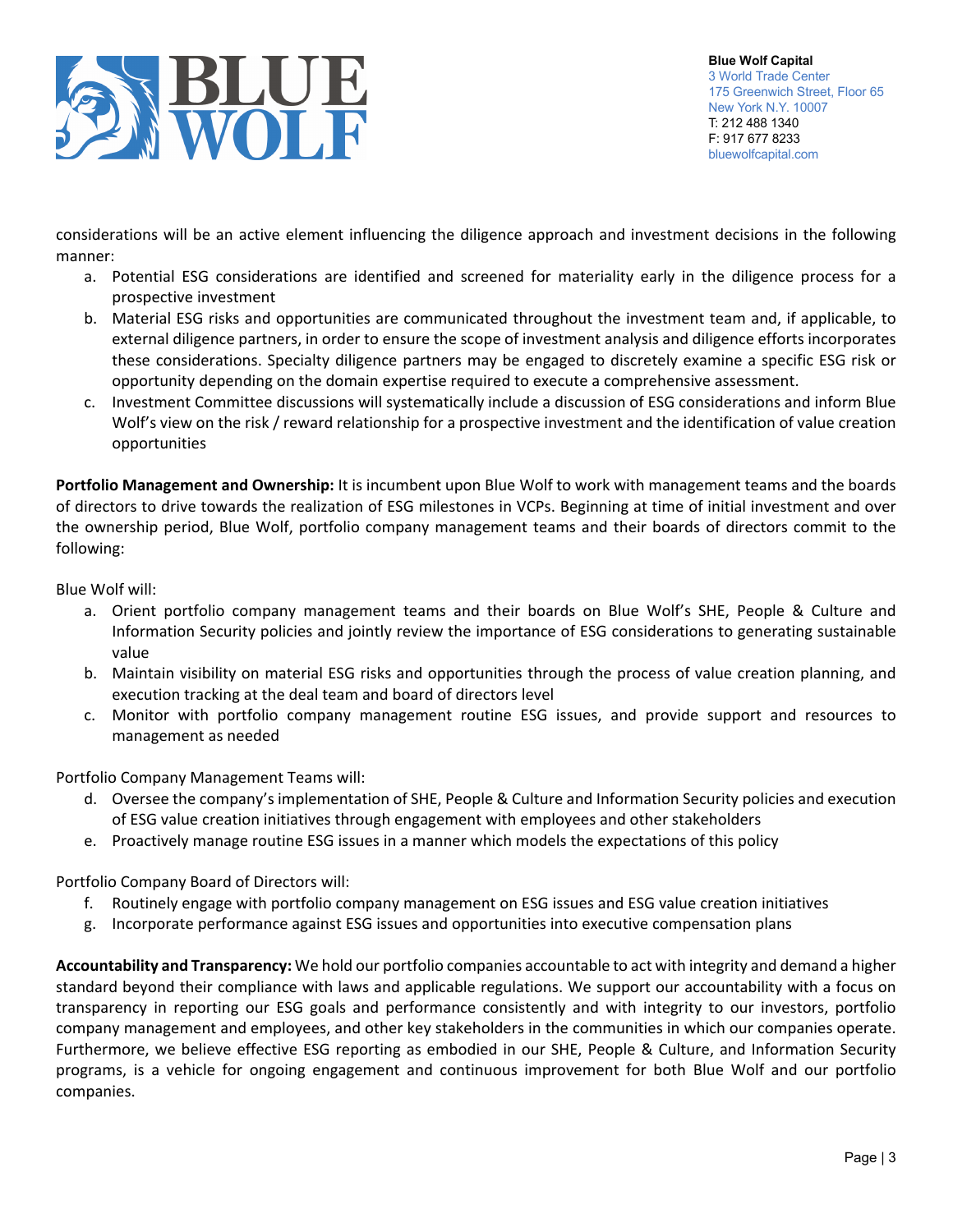

considerations will be an active element influencing the diligence approach and investment decisions in the following manner:

- a. Potential ESG considerations are identified and screened for materiality early in the diligence process for a prospective investment
- b. Material ESG risks and opportunities are communicated throughout the investment team and, if applicable, to external diligence partners, in order to ensure the scope of investment analysis and diligence efforts incorporates these considerations. Specialty diligence partners may be engaged to discretely examine a specific ESG risk or opportunity depending on the domain expertise required to execute a comprehensive assessment.
- c. Investment Committee discussions will systematically include a discussion of ESG considerations and inform Blue Wolf's view on the risk / reward relationship for a prospective investment and the identification of value creation opportunities

**Portfolio Management and Ownership:** It is incumbent upon Blue Wolf to work with management teams and the boards of directors to drive towards the realization of ESG milestones in VCPs. Beginning at time of initial investment and over the ownership period, Blue Wolf, portfolio company management teams and their boards of directors commit to the following:

Blue Wolf will:

- a. Orient portfolio company management teams and their boards on Blue Wolf's SHE, People & Culture and Information Security policies and jointly review the importance of ESG considerations to generating sustainable value
- b. Maintain visibility on material ESG risks and opportunities through the process of value creation planning, and execution tracking at the deal team and board of directors level
- c. Monitor with portfolio company management routine ESG issues, and provide support and resources to management as needed

Portfolio Company Management Teams will:

- d. Oversee the company's implementation of SHE, People & Culture and Information Security policies and execution of ESG value creation initiatives through engagement with employees and other stakeholders
- e. Proactively manage routine ESG issues in a manner which models the expectations of this policy

Portfolio Company Board of Directors will:

- f. Routinely engage with portfolio company management on ESG issues and ESG value creation initiatives
- g. Incorporate performance against ESG issues and opportunities into executive compensation plans

**Accountability and Transparency:** We hold our portfolio companies accountable to act with integrity and demand a higher standard beyond their compliance with laws and applicable regulations. We support our accountability with a focus on transparency in reporting our ESG goals and performance consistently and with integrity to our investors, portfolio company management and employees, and other key stakeholders in the communities in which our companies operate. Furthermore, we believe effective ESG reporting as embodied in our SHE, People & Culture, and Information Security programs, is a vehicle for ongoing engagement and continuous improvement for both Blue Wolf and our portfolio companies.